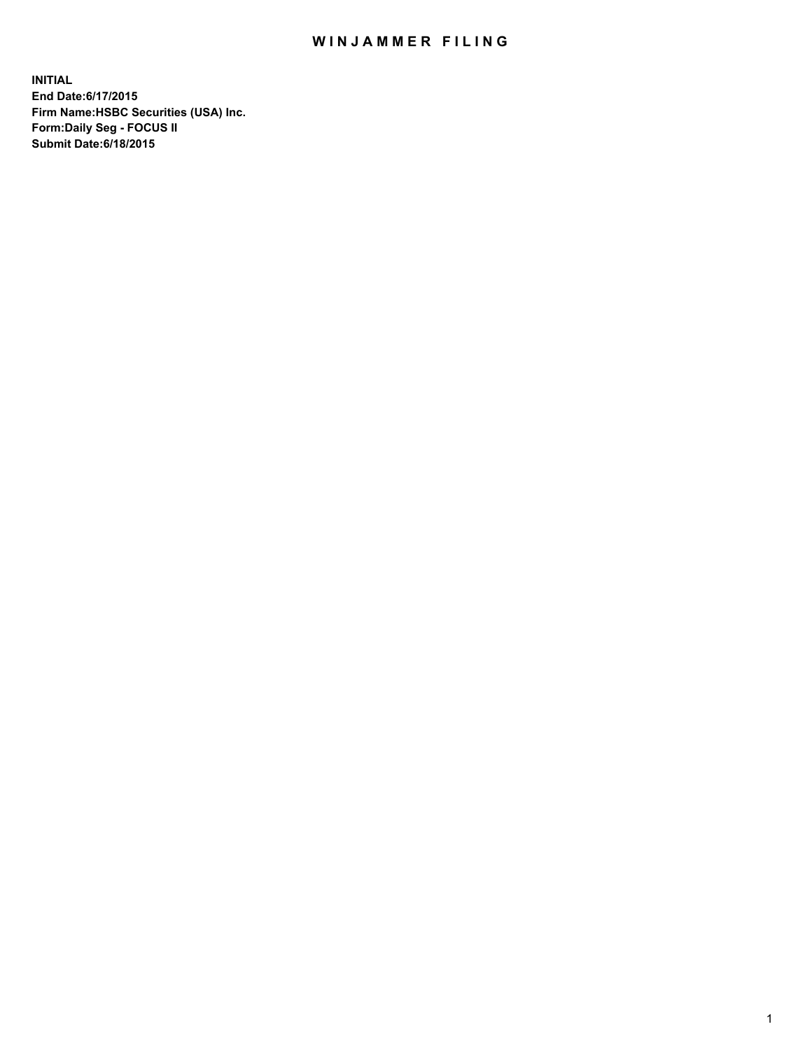## WIN JAMMER FILING

**INITIAL End Date:6/17/2015 Firm Name:HSBC Securities (USA) Inc. Form:Daily Seg - FOCUS II Submit Date:6/18/2015**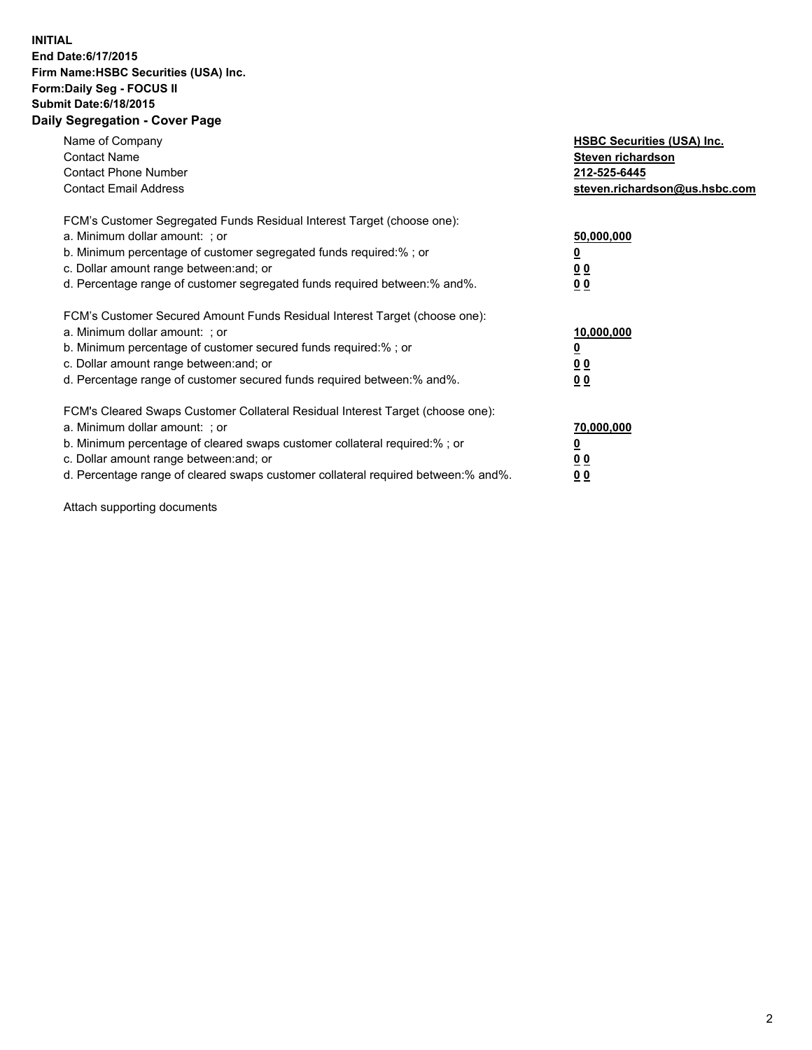## **INITIAL End Date:6/17/2015 Firm Name:HSBC Securities (USA) Inc. Form:Daily Seg - FOCUS II Submit Date:6/18/2015 Daily Segregation - Cover Page**

| Name of Company<br><b>Contact Name</b><br><b>Contact Phone Number</b><br><b>Contact Email Address</b>                                                                                                                                                                                                                          | <b>HSBC Securities (USA) Inc.</b><br>Steven richardson<br>212-525-6445<br>steven.richardson@us.hsbc.com |
|--------------------------------------------------------------------------------------------------------------------------------------------------------------------------------------------------------------------------------------------------------------------------------------------------------------------------------|---------------------------------------------------------------------------------------------------------|
| FCM's Customer Segregated Funds Residual Interest Target (choose one):<br>a. Minimum dollar amount: ; or<br>b. Minimum percentage of customer segregated funds required:%; or<br>c. Dollar amount range between: and; or<br>d. Percentage range of customer segregated funds required between: % and %.                        | 50,000,000<br>0 <sub>0</sub><br>0 <sub>0</sub>                                                          |
| FCM's Customer Secured Amount Funds Residual Interest Target (choose one):<br>a. Minimum dollar amount: ; or<br>b. Minimum percentage of customer secured funds required:%; or<br>c. Dollar amount range between: and; or<br>d. Percentage range of customer secured funds required between:% and%.                            | 10,000,000<br><u>0</u><br>0 <sub>0</sub><br>0 <sub>0</sub>                                              |
| FCM's Cleared Swaps Customer Collateral Residual Interest Target (choose one):<br>a. Minimum dollar amount: ; or<br>b. Minimum percentage of cleared swaps customer collateral required:% ; or<br>c. Dollar amount range between: and; or<br>d. Percentage range of cleared swaps customer collateral required between:% and%. | 70,000,000<br>00<br><u>00</u>                                                                           |

Attach supporting documents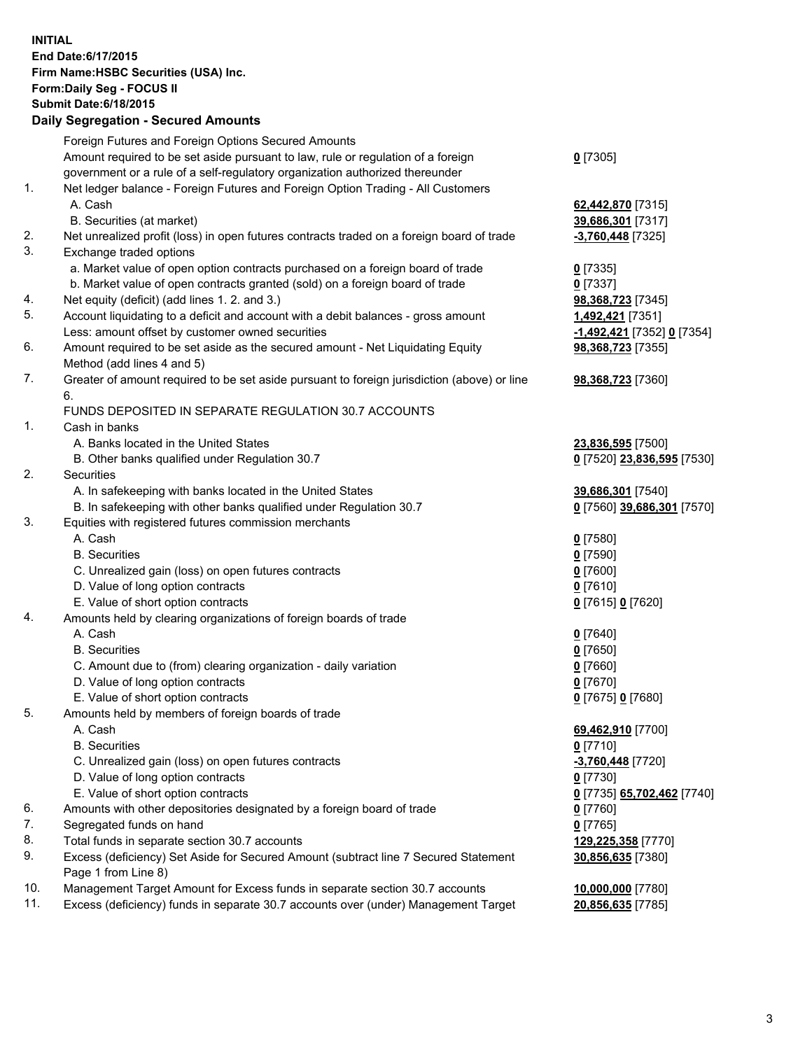**INITIAL End Date:6/17/2015 Firm Name:HSBC Securities (USA) Inc. Form:Daily Seg - FOCUS II Submit Date:6/18/2015 Daily Segregation - Secured Amounts**

|     | Dany Oogrogaach - Ocearea Amoanto                                                           |                            |
|-----|---------------------------------------------------------------------------------------------|----------------------------|
|     | Foreign Futures and Foreign Options Secured Amounts                                         |                            |
|     | Amount required to be set aside pursuant to law, rule or regulation of a foreign            | $0$ [7305]                 |
|     | government or a rule of a self-regulatory organization authorized thereunder                |                            |
| 1.  | Net ledger balance - Foreign Futures and Foreign Option Trading - All Customers             |                            |
|     | A. Cash                                                                                     | 62,442,870 [7315]          |
|     | B. Securities (at market)                                                                   | 39,686,301 [7317]          |
| 2.  | Net unrealized profit (loss) in open futures contracts traded on a foreign board of trade   | -3,760,448 [7325]          |
| 3.  | Exchange traded options                                                                     |                            |
|     | a. Market value of open option contracts purchased on a foreign board of trade              | $0$ [7335]                 |
|     | b. Market value of open contracts granted (sold) on a foreign board of trade                | $0$ [7337]                 |
| 4.  | Net equity (deficit) (add lines 1.2. and 3.)                                                | 98,368,723 [7345]          |
| 5.  | Account liquidating to a deficit and account with a debit balances - gross amount           | <u>1,492,421</u> [7351]    |
|     | Less: amount offset by customer owned securities                                            | -1,492,421 [7352] 0 [7354] |
| 6.  | Amount required to be set aside as the secured amount - Net Liquidating Equity              | 98,368,723 [7355]          |
|     | Method (add lines 4 and 5)                                                                  |                            |
| 7.  | Greater of amount required to be set aside pursuant to foreign jurisdiction (above) or line | 98,368,723 [7360]          |
|     | 6.                                                                                          |                            |
|     | FUNDS DEPOSITED IN SEPARATE REGULATION 30.7 ACCOUNTS                                        |                            |
| 1.  | Cash in banks                                                                               |                            |
|     | A. Banks located in the United States                                                       | 23,836,595 [7500]          |
|     | B. Other banks qualified under Regulation 30.7                                              | 0 [7520] 23,836,595 [7530] |
| 2.  | <b>Securities</b>                                                                           |                            |
|     | A. In safekeeping with banks located in the United States                                   | 39,686,301 [7540]          |
|     | B. In safekeeping with other banks qualified under Regulation 30.7                          | 0 [7560] 39,686,301 [7570] |
| 3.  | Equities with registered futures commission merchants                                       |                            |
|     | A. Cash                                                                                     | $0$ [7580]                 |
|     | <b>B.</b> Securities                                                                        | $0$ [7590]                 |
|     | C. Unrealized gain (loss) on open futures contracts                                         | $0$ [7600]                 |
|     | D. Value of long option contracts                                                           | $0$ [7610]                 |
|     | E. Value of short option contracts                                                          | 0 [7615] 0 [7620]          |
| 4.  | Amounts held by clearing organizations of foreign boards of trade                           |                            |
|     | A. Cash                                                                                     | $0$ [7640]                 |
|     | <b>B.</b> Securities                                                                        | $0$ [7650]                 |
|     | C. Amount due to (from) clearing organization - daily variation                             | $0$ [7660]                 |
|     | D. Value of long option contracts                                                           | $0$ [7670]                 |
|     | E. Value of short option contracts                                                          | 0 [7675] 0 [7680]          |
| 5.  | Amounts held by members of foreign boards of trade                                          |                            |
|     | A. Cash                                                                                     | 69,462,910 [7700]          |
|     | <b>B.</b> Securities                                                                        | $0$ [7710]                 |
|     | C. Unrealized gain (loss) on open futures contracts                                         | $-3,760,448$ [7720]        |
|     | D. Value of long option contracts                                                           | $0$ [7730]                 |
|     | E. Value of short option contracts                                                          | 0 [7735] 65,702,462 [7740] |
| 6.  | Amounts with other depositories designated by a foreign board of trade                      | 0 [7760]                   |
| 7.  | Segregated funds on hand                                                                    | $0$ [7765]                 |
| 8.  | Total funds in separate section 30.7 accounts                                               | 129,225,358 [7770]         |
| 9.  | Excess (deficiency) Set Aside for Secured Amount (subtract line 7 Secured Statement         | 30,856,635 [7380]          |
|     | Page 1 from Line 8)                                                                         |                            |
| 10. | Management Target Amount for Excess funds in separate section 30.7 accounts                 | 10,000,000 [7780]          |
| 11. | Excess (deficiency) funds in separate 30.7 accounts over (under) Management Target          | 20,856,635 [7785]          |
|     |                                                                                             |                            |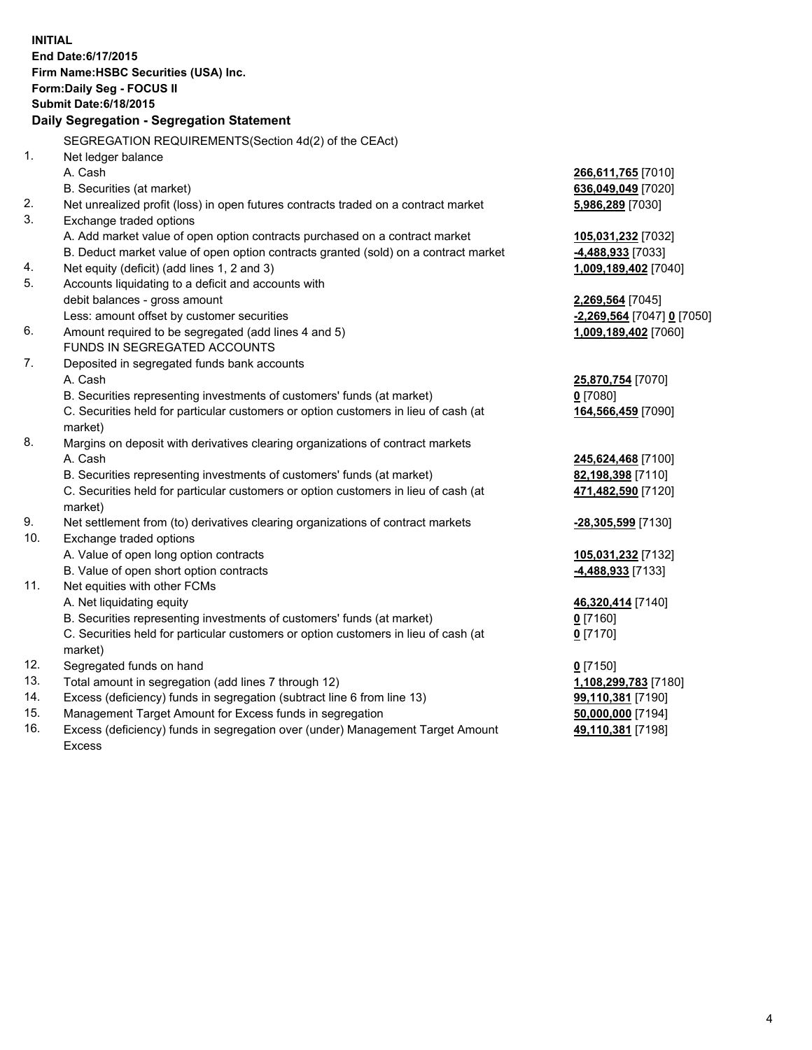| <b>INITIAL</b>                        |                                                                                                |                            |  |  |  |  |
|---------------------------------------|------------------------------------------------------------------------------------------------|----------------------------|--|--|--|--|
|                                       | End Date: 6/17/2015                                                                            |                            |  |  |  |  |
| Firm Name: HSBC Securities (USA) Inc. |                                                                                                |                            |  |  |  |  |
|                                       | Form: Daily Seg - FOCUS II                                                                     |                            |  |  |  |  |
|                                       | <b>Submit Date:6/18/2015</b>                                                                   |                            |  |  |  |  |
|                                       | Daily Segregation - Segregation Statement                                                      |                            |  |  |  |  |
|                                       | SEGREGATION REQUIREMENTS(Section 4d(2) of the CEAct)                                           |                            |  |  |  |  |
| 1.                                    | Net ledger balance                                                                             |                            |  |  |  |  |
|                                       | A. Cash                                                                                        | 266,611,765 [7010]         |  |  |  |  |
|                                       | B. Securities (at market)                                                                      | 636,049,049 [7020]         |  |  |  |  |
| 2.                                    | Net unrealized profit (loss) in open futures contracts traded on a contract market             | 5,986,289 [7030]           |  |  |  |  |
| 3.                                    | Exchange traded options                                                                        |                            |  |  |  |  |
|                                       | A. Add market value of open option contracts purchased on a contract market                    | 105,031,232 [7032]         |  |  |  |  |
|                                       | B. Deduct market value of open option contracts granted (sold) on a contract market            | 4,488,933 [7033]           |  |  |  |  |
| 4.                                    | Net equity (deficit) (add lines 1, 2 and 3)                                                    | 1,009,189,402 [7040]       |  |  |  |  |
| 5.                                    | Accounts liquidating to a deficit and accounts with                                            |                            |  |  |  |  |
|                                       | debit balances - gross amount                                                                  | 2,269,564 [7045]           |  |  |  |  |
|                                       | Less: amount offset by customer securities                                                     | -2,269,564 [7047] 0 [7050] |  |  |  |  |
| 6.                                    | Amount required to be segregated (add lines 4 and 5)                                           | 1,009,189,402 [7060]       |  |  |  |  |
|                                       | FUNDS IN SEGREGATED ACCOUNTS                                                                   |                            |  |  |  |  |
| 7.                                    | Deposited in segregated funds bank accounts                                                    |                            |  |  |  |  |
|                                       | A. Cash                                                                                        | 25,870,754 [7070]          |  |  |  |  |
|                                       | B. Securities representing investments of customers' funds (at market)                         | $0$ [7080]                 |  |  |  |  |
|                                       | C. Securities held for particular customers or option customers in lieu of cash (at            | 164,566,459 [7090]         |  |  |  |  |
|                                       | market)                                                                                        |                            |  |  |  |  |
| 8.                                    | Margins on deposit with derivatives clearing organizations of contract markets                 |                            |  |  |  |  |
|                                       | A. Cash                                                                                        | 245,624,468 [7100]         |  |  |  |  |
|                                       | B. Securities representing investments of customers' funds (at market)                         | 82,198,398 [7110]          |  |  |  |  |
|                                       | C. Securities held for particular customers or option customers in lieu of cash (at<br>market) | 471,482,590 [7120]         |  |  |  |  |
| 9.                                    | Net settlement from (to) derivatives clearing organizations of contract markets                | -28,305,599 [7130]         |  |  |  |  |
| 10.                                   | Exchange traded options                                                                        |                            |  |  |  |  |
|                                       | A. Value of open long option contracts                                                         | 105,031,232 [7132]         |  |  |  |  |
|                                       | B. Value of open short option contracts                                                        | 4,488,933 [7133]           |  |  |  |  |
| 11.                                   | Net equities with other FCMs                                                                   |                            |  |  |  |  |
|                                       | A. Net liquidating equity                                                                      | 46,320,414 [7140]          |  |  |  |  |
|                                       | B. Securities representing investments of customers' funds (at market)                         | <u>0</u> [7160]            |  |  |  |  |
|                                       | C. Securities held for particular customers or option customers in lieu of cash (at<br>market) | $0$ [7170]                 |  |  |  |  |
| 12.                                   | Segregated funds on hand                                                                       | $0$ [7150]                 |  |  |  |  |
| 13.                                   | Total amount in segregation (add lines 7 through 12)                                           | 1,108,299,783 [7180]       |  |  |  |  |
| 14.                                   | Excess (deficiency) funds in segregation (subtract line 6 from line 13)                        | 99,110,381 [7190]          |  |  |  |  |
| 15.                                   | Management Target Amount for Excess funds in segregation                                       | 50,000,000 [7194]          |  |  |  |  |
| 16.                                   | Excess (deficiency) funds in segregation over (under) Management Target Amount                 | 49,110,381 [7198]          |  |  |  |  |

Excess